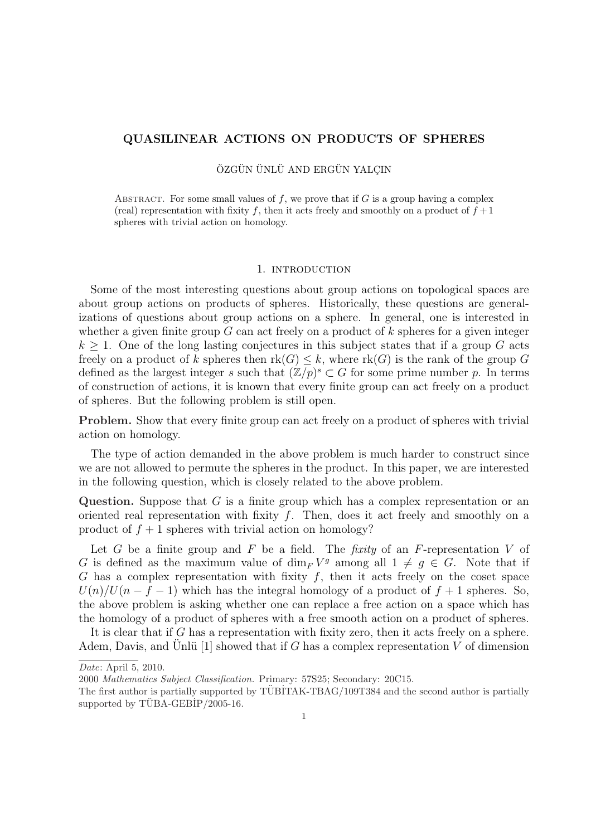## QUASILINEAR ACTIONS ON PRODUCTS OF SPHERES

ÖZGÜN ÜNLÜ AND ERGÜN YALCIN

ABSTRACT. For some small values of f, we prove that if  $G$  is a group having a complex (real) representation with fixity f, then it acts freely and smoothly on a product of  $f + 1$ spheres with trivial action on homology.

#### 1. INTRODUCTION

Some of the most interesting questions about group actions on topological spaces are about group actions on products of spheres. Historically, these questions are generalizations of questions about group actions on a sphere. In general, one is interested in whether a given finite group  $G$  can act freely on a product of  $k$  spheres for a given integer  $k \geq 1$ . One of the long lasting conjectures in this subject states that if a group G acts freely on a product of k spheres then  $rk(G) \leq k$ , where  $rk(G)$  is the rank of the group G defined as the largest integer s such that  $(\mathbb{Z}/p)^s \subset G$  for some prime number p. In terms of construction of actions, it is known that every finite group can act freely on a product of spheres. But the following problem is still open.

Problem. Show that every finite group can act freely on a product of spheres with trivial action on homology.

The type of action demanded in the above problem is much harder to construct since we are not allowed to permute the spheres in the product. In this paper, we are interested in the following question, which is closely related to the above problem.

Question. Suppose that  $G$  is a finite group which has a complex representation or an oriented real representation with fixity  $f$ . Then, does it act freely and smoothly on a product of  $f + 1$  spheres with trivial action on homology?

Let G be a finite group and F be a field. The *fixity* of an F-representation V of G is defined as the maximum value of  $\dim_F V^g$  among all  $1 \neq g \in G$ . Note that if G has a complex representation with fixity  $f$ , then it acts freely on the coset space  $U(n)/U(n-f-1)$  which has the integral homology of a product of  $f+1$  spheres. So, the above problem is asking whether one can replace a free action on a space which has the homology of a product of spheres with a free smooth action on a product of spheres.

It is clear that if G has a representation with fixity zero, then it acts freely on a sphere. Adem, Davis, and Unlü [1] showed that if G has a complex representation V of dimension

Date: April 5, 2010.

<sup>2000</sup> Mathematics Subject Classification. Primary: 57S25; Secondary: 20C15.

The first author is partially supported by TÜBİTAK-TBAG/109T384 and the second author is partially supported by  $TUBA-GEBIP/2005-16$ .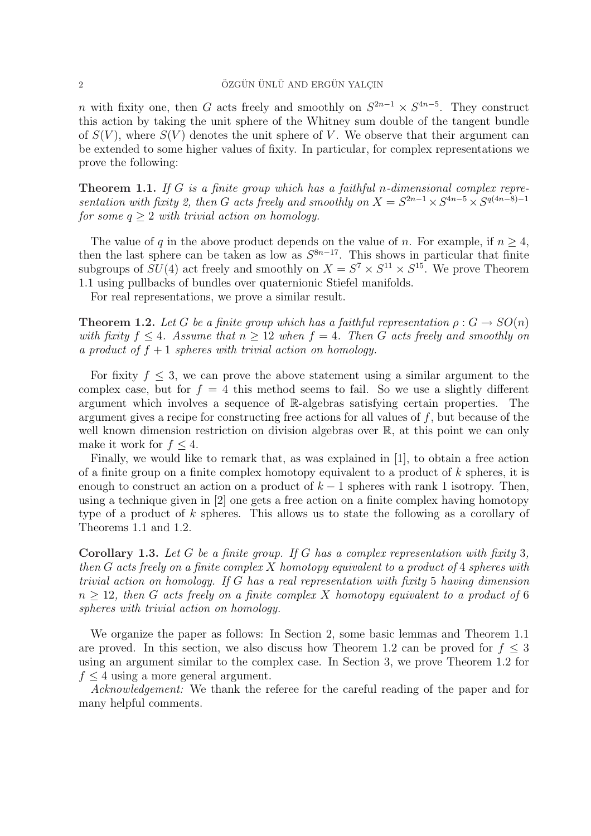n with fixity one, then G acts freely and smoothly on  $S^{2n-1} \times S^{4n-5}$ . They construct this action by taking the unit sphere of the Whitney sum double of the tangent bundle of  $S(V)$ , where  $S(V)$  denotes the unit sphere of V. We observe that their argument can be extended to some higher values of fixity. In particular, for complex representations we prove the following:

**Theorem 1.1.** If G is a finite group which has a faithful n-dimensional complex representation with fixity 2, then G acts freely and smoothly on  $X = S^{2n-1} \times S^{4n-5} \times S^{q(4n-8)-1}$ for some  $q \geq 2$  with trivial action on homology.

The value of q in the above product depends on the value of n. For example, if  $n \geq 4$ , then the last sphere can be taken as low as  $S^{8n-17}$ . This shows in particular that finite subgroups of  $SU(4)$  act freely and smoothly on  $X = S^7 \times S^{11} \times S^{15}$ . We prove Theorem 1.1 using pullbacks of bundles over quaternionic Stiefel manifolds.

For real representations, we prove a similar result.

**Theorem 1.2.** Let G be a finite group which has a faithful representation  $\rho: G \to SO(n)$ with fixity  $f \leq 4$ . Assume that  $n \geq 12$  when  $f = 4$ . Then G acts freely and smoothly on a product of  $f + 1$  spheres with trivial action on homology.

For fixity  $f \leq 3$ , we can prove the above statement using a similar argument to the complex case, but for  $f = 4$  this method seems to fail. So we use a slightly different argument which involves a sequence of R-algebras satisfying certain properties. The argument gives a recipe for constructing free actions for all values of f, but because of the well known dimension restriction on division algebras over R, at this point we can only make it work for  $f \leq 4$ .

Finally, we would like to remark that, as was explained in [1], to obtain a free action of a finite group on a finite complex homotopy equivalent to a product of  $k$  spheres, it is enough to construct an action on a product of  $k-1$  spheres with rank 1 isotropy. Then, using a technique given in [2] one gets a free action on a finite complex having homotopy type of a product of k spheres. This allows us to state the following as a corollary of Theorems 1.1 and 1.2.

Corollary 1.3. Let G be a finite group. If G has a complex representation with fixity 3, then G acts freely on a finite complex X homotopy equivalent to a product of 4 spheres with trivial action on homology. If G has a real representation with fixity 5 having dimension  $n \geq 12$ , then G acts freely on a finite complex X homotopy equivalent to a product of 6 spheres with trivial action on homology.

We organize the paper as follows: In Section 2, some basic lemmas and Theorem 1.1 are proved. In this section, we also discuss how Theorem 1.2 can be proved for  $f \leq 3$ using an argument similar to the complex case. In Section 3, we prove Theorem 1.2 for  $f \leq 4$  using a more general argument.

Acknowledgement: We thank the referee for the careful reading of the paper and for many helpful comments.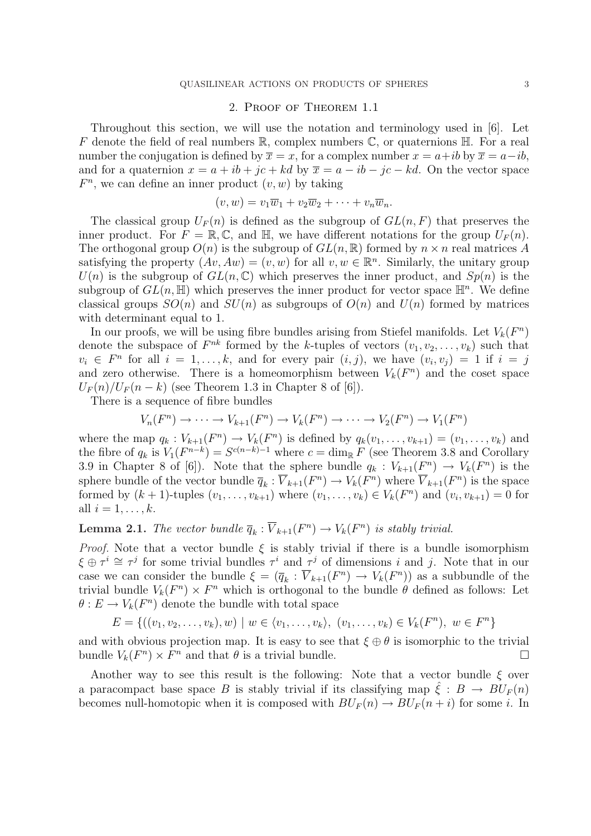## 2. Proof of Theorem 1.1

Throughout this section, we will use the notation and terminology used in [6]. Let F denote the field of real numbers  $\mathbb{R}$ , complex numbers  $\mathbb{C}$ , or quaternions  $\mathbb{H}$ . For a real number the conjugation is defined by  $\overline{x} = x$ , for a complex number  $x = a+ib$  by  $\overline{x} = a-ib$ , and for a quaternion  $x = a + ib + jc + kd$  by  $\overline{x} = a - ib - jc - kd$ . On the vector space  $F<sup>n</sup>$ , we can define an inner product  $(v, w)$  by taking

$$
(v, w) = v_1 \overline{w}_1 + v_2 \overline{w}_2 + \cdots + v_n \overline{w}_n.
$$

The classical group  $U_F(n)$  is defined as the subgroup of  $GL(n, F)$  that preserves the inner product. For  $F = \mathbb{R}, \mathbb{C}$ , and  $\mathbb{H}$ , we have different notations for the group  $U_F(n)$ . The orthogonal group  $O(n)$  is the subgroup of  $GL(n,\mathbb{R})$  formed by  $n \times n$  real matrices A satisfying the property  $(Av, Aw) = (v, w)$  for all  $v, w \in \mathbb{R}^n$ . Similarly, the unitary group  $U(n)$  is the subgroup of  $GL(n,\mathbb{C})$  which preserves the inner product, and  $Sp(n)$  is the subgroup of  $GL(n, \mathbb{H})$  which preserves the inner product for vector space  $\mathbb{H}^n$ . We define classical groups  $SO(n)$  and  $SU(n)$  as subgroups of  $O(n)$  and  $U(n)$  formed by matrices with determinant equal to 1.

In our proofs, we will be using fibre bundles arising from Stiefel manifolds. Let  $V_k(F^n)$ denote the subspace of  $F^{nk}$  formed by the k-tuples of vectors  $(v_1, v_2, \ldots, v_k)$  such that  $v_i \in F^n$  for all  $i = 1, \ldots, k$ , and for every pair  $(i, j)$ , we have  $(v_i, v_j) = 1$  if  $i = j$ and zero otherwise. There is a homeomorphism between  $V_k(F^n)$  and the coset space  $U_F(n)/U_F(n-k)$  (see Theorem 1.3 in Chapter 8 of [6]).

There is a sequence of fibre bundles

$$
V_n(F^n) \to \cdots \to V_{k+1}(F^n) \to V_k(F^n) \to \cdots \to V_2(F^n) \to V_1(F^n)
$$

where the map  $q_k: V_{k+1}(F^n) \to V_k(F^n)$  is defined by  $q_k(v_1,\ldots,v_{k+1}) = (v_1,\ldots,v_k)$  and the fibre of  $q_k$  is  $V_1(F^{n-k}) = S^{c(n-k)-1}$  where  $c = \dim_{\mathbb{R}} F$  (see Theorem 3.8 and Corollary 3.9 in Chapter 8 of [6]). Note that the sphere bundle  $q_k : V_{k+1}(F^n) \to V_k(F^n)$  is the sphere bundle of the vector bundle  $\overline{q}_k : \overline{V}_{k+1}(F^n) \to V_k(F^n)$  where  $\overline{V}_{k+1}(F^n)$  is the space formed by  $(k + 1)$ -tuples  $(v_1, ..., v_{k+1})$  where  $(v_1, ..., v_k) \in V_k(F^n)$  and  $(v_i, v_{k+1}) = 0$  for all  $i = 1, \ldots, k$ .

# **Lemma 2.1.** The vector bundle  $\overline{q}_k : \overline{V}_{k+1}(F^n) \to V_k(F^n)$  is stably trivial.

*Proof.* Note that a vector bundle  $\xi$  is stably trivial if there is a bundle isomorphism  $\xi \oplus \tau^i \cong \tau^j$  for some trivial bundles  $\tau^i$  and  $\tau^j$  of dimensions i and j. Note that in our case we can consider the bundle  $\xi = (\overline{q}_k : \overline{V}_{k+1}(F^n) \to V_k(F^n))$  as a subbundle of the trivial bundle  $V_k(F^n) \times F^n$  which is orthogonal to the bundle  $\theta$  defined as follows: Let  $\theta: E \to V_k(F^n)$  denote the bundle with total space

$$
E = \{((v_1, v_2, \dots, v_k), w) \mid w \in \langle v_1, \dots, v_k \rangle, (v_1, \dots, v_k) \in V_k(F^n), w \in F^n\}
$$

and with obvious projection map. It is easy to see that  $\xi \oplus \theta$  is isomorphic to the trivial bundle  $V_k(F^n) \times F^n$  and that  $\theta$  is a trivial bundle.

Another way to see this result is the following: Note that a vector bundle  $\xi$  over a paracompact base space B is stably trivial if its classifying map  $\hat{\xi}: B \to BU_F(n)$ becomes null-homotopic when it is composed with  $BU_F(n) \to BU_F(n+i)$  for some i. In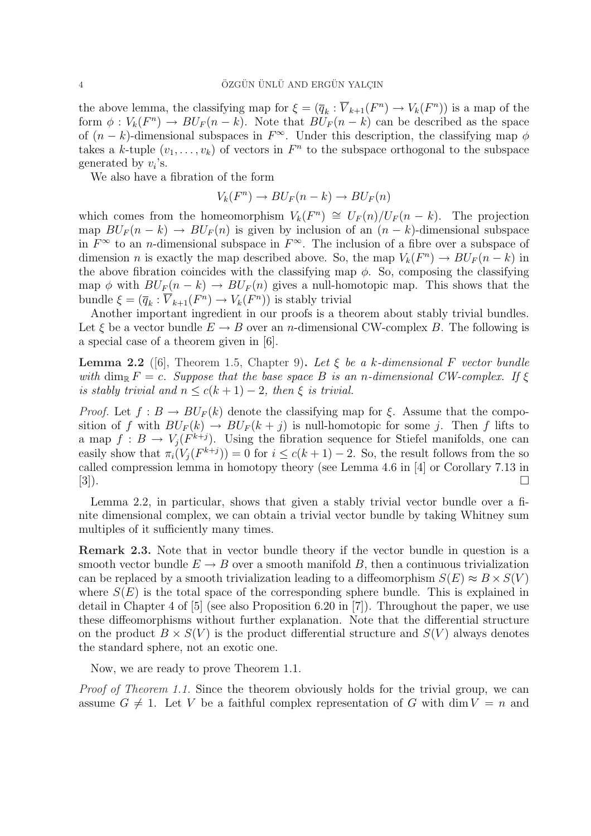the above lemma, the classifying map for  $\xi = (\overline{q}_k : \overline{V}_{k+1}(F^n) \to V_k(F^n))$  is a map of the form  $\phi: V_k(F^n) \to BU_F(n-k)$ . Note that  $BU_F(n-k)$  can be described as the space of  $(n - k)$ -dimensional subspaces in  $F^{\infty}$ . Under this description, the classifying map  $\phi$ takes a k-tuple  $(v_1, \ldots, v_k)$  of vectors in  $F^n$  to the subspace orthogonal to the subspace generated by  $v_i$ 's.

We also have a fibration of the form

$$
V_k(F^n) \to BU_F(n-k) \to BU_F(n)
$$

which comes from the homeomorphism  $V_k(F^n) \cong U_F(n)/U_F(n-k)$ . The projection map  $BU_F(n - k) \rightarrow BU_F(n)$  is given by inclusion of an  $(n - k)$ -dimensional subspace in  $F^{\infty}$  to an *n*-dimensional subspace in  $F^{\infty}$ . The inclusion of a fibre over a subspace of dimension *n* is exactly the map described above. So, the map  $V_k(F^n) \to BU_F(n-k)$  in the above fibration coincides with the classifying map  $\phi$ . So, composing the classifying map  $\phi$  with  $BU_F(n-k) \to BU_F(n)$  gives a null-homotopic map. This shows that the bundle  $\xi = (\overline{q}_k : \overline{V}_{k+1}(F^n) \to V_k(F^n))$  is stably trivial

Another important ingredient in our proofs is a theorem about stably trivial bundles. Let  $\xi$  be a vector bundle  $E \to B$  over an *n*-dimensional CW-complex B. The following is a special case of a theorem given in [6].

**Lemma 2.2** ([6], Theorem 1.5, Chapter 9). Let  $\xi$  be a k-dimensional F vector bundle with dim<sub>R</sub>  $F = c$ . Suppose that the base space B is an n-dimensional CW-complex. If  $\xi$ is stably trivial and  $n \leq c(k+1) - 2$ , then  $\xi$  is trivial.

*Proof.* Let  $f : B \to BU_F(k)$  denote the classifying map for  $\xi$ . Assume that the composition of f with  $BU_F(k) \rightarrow BU_F(k + j)$  is null-homotopic for some j. Then f lifts to a map  $f: B \to V_j(F^{k+j})$ . Using the fibration sequence for Stiefel manifolds, one can easily show that  $\pi_i(V_j(F^{k+j})) = 0$  for  $i \leq c(k+1) - 2$ . So, the result follows from the so called compression lemma in homotopy theory (see Lemma 4.6 in [4] or Corollary 7.13 in  $[3]$ ).

Lemma 2.2, in particular, shows that given a stably trivial vector bundle over a finite dimensional complex, we can obtain a trivial vector bundle by taking Whitney sum multiples of it sufficiently many times.

Remark 2.3. Note that in vector bundle theory if the vector bundle in question is a smooth vector bundle  $E \to B$  over a smooth manifold B, then a continuous trivialization can be replaced by a smooth trivialization leading to a diffeomorphism  $S(E) \approx B \times S(V)$ where  $S(E)$  is the total space of the corresponding sphere bundle. This is explained in detail in Chapter 4 of [5] (see also Proposition 6.20 in [7]). Throughout the paper, we use these diffeomorphisms without further explanation. Note that the differential structure on the product  $B \times S(V)$  is the product differential structure and  $S(V)$  always denotes the standard sphere, not an exotic one.

Now, we are ready to prove Theorem 1.1.

Proof of Theorem 1.1. Since the theorem obviously holds for the trivial group, we can assume  $G \neq 1$ . Let V be a faithful complex representation of G with dim  $V = n$  and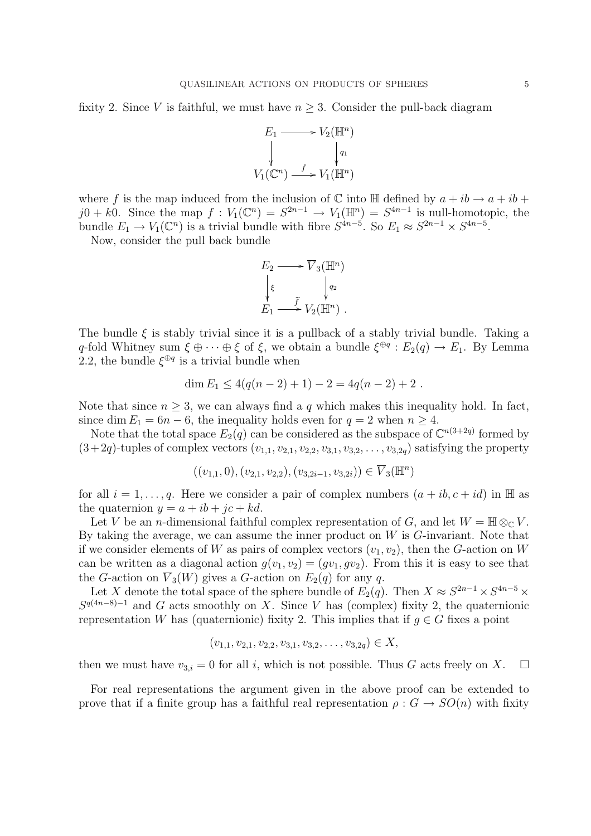fixity 2. Since V is faithful, we must have  $n > 3$ . Consider the pull-back diagram



where f is the map induced from the inclusion of  $\mathbb C$  into  $\mathbb H$  defined by  $a + ib \rightarrow a + ib +$  $j0 + k0$ . Since the map  $f: V_1(\mathbb{C}^n) = S^{2n-1} \to V_1(\mathbb{H}^n) = S^{4n-1}$  is null-homotopic, the bundle  $E_1 \to V_1(\mathbb{C}^n)$  is a trivial bundle with fibre  $S^{4n-5}$ . So  $E_1 \approx S^{2n-1} \times S^{4n-5}$ .

Now, consider the pull back bundle

$$
E_2 \longrightarrow \overline{V}_3(\mathbb{H}^n)
$$
  

$$
\downarrow \xi \qquad \qquad \downarrow q_2
$$
  

$$
E_1 \longrightarrow \widetilde{V}_2(\mathbb{H}^n) .
$$

The bundle  $\xi$  is stably trivial since it is a pullback of a stably trivial bundle. Taking a q-fold Whitney sum  $\xi \oplus \cdots \oplus \xi$  of  $\xi$ , we obtain a bundle  $\xi^{\oplus q}$ :  $E_2(q) \to E_1$ . By Lemma 2.2, the bundle  $\xi^{\oplus q}$  is a trivial bundle when

$$
\dim E_1 \le 4(q(n-2)+1) - 2 = 4q(n-2)+2.
$$

Note that since  $n \geq 3$ , we can always find a q which makes this inequality hold. In fact, since dim  $E_1 = 6n - 6$ , the inequality holds even for  $q = 2$  when  $n \ge 4$ .

Note that the total space  $E_2(q)$  can be considered as the subspace of  $\mathbb{C}^{n(3+2q)}$  formed by  $(3+2q)$ -tuples of complex vectors  $(v_{1,1}, v_{2,1}, v_{2,2}, v_{3,1}, v_{3,2}, \ldots, v_{3,2q})$  satisfying the property

$$
((v_{1,1},0),(v_{2,1},v_{2,2}),(v_{3,2i-1},v_{3,2i})) \in \overline{V}_3(\mathbb{H}^n)
$$

for all  $i = 1, \ldots, q$ . Here we consider a pair of complex numbers  $(a + ib, c + id)$  in H as the quaternion  $y = a + ib + ic + kd$ .

Let V be an *n*-dimensional faithful complex representation of G, and let  $W = \mathbb{H} \otimes_{\mathbb{C}} V$ . By taking the average, we can assume the inner product on  $W$  is  $G$ -invariant. Note that if we consider elements of W as pairs of complex vectors  $(v_1, v_2)$ , then the G-action on W can be written as a diagonal action  $g(v_1, v_2) = (gv_1, gv_2)$ . From this it is easy to see that the G-action on  $\overline{V}_3(W)$  gives a G-action on  $E_2(q)$  for any q.

Let X denote the total space of the sphere bundle of  $E_2(q)$ . Then  $X \approx S^{2n-1} \times S^{4n-5} \times S^{4n-5}$  $S^{q(4n-8)-1}$  and G acts smoothly on X. Since V has (complex) fixity 2, the quaternionic representation W has (quaternionic) fixity 2. This implies that if  $q \in G$  fixes a point

$$
(v_{1,1}, v_{2,1}, v_{2,2}, v_{3,1}, v_{3,2}, \ldots, v_{3,2q}) \in X,
$$

then we must have  $v_{3,i} = 0$  for all i, which is not possible. Thus G acts freely on X.  $\square$ 

For real representations the argument given in the above proof can be extended to prove that if a finite group has a faithful real representation  $\rho: G \to SO(n)$  with fixity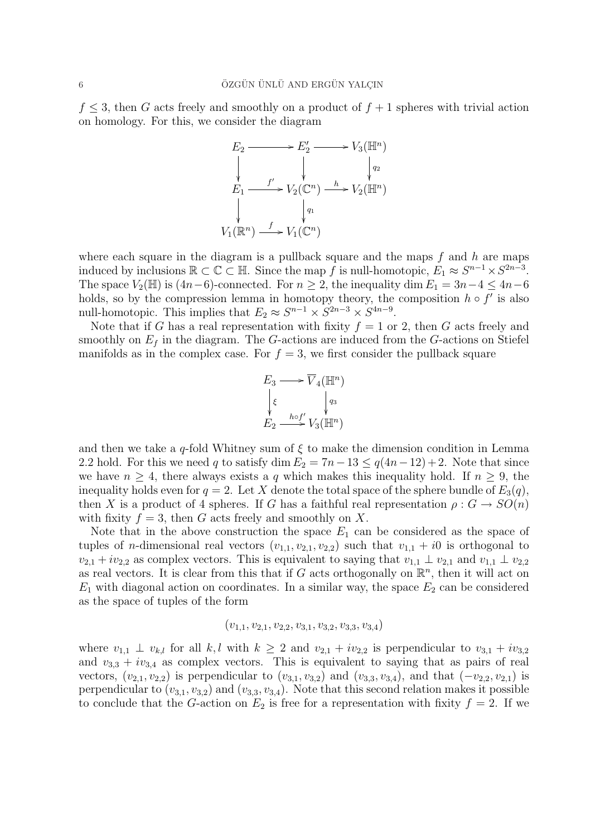$f \leq 3$ , then G acts freely and smoothly on a product of  $f + 1$  spheres with trivial action on homology. For this, we consider the diagram

$$
E_2 \longrightarrow E'_2 \longrightarrow V_3(\mathbb{H}^n)
$$
  
\n
$$
\downarrow \qquad \qquad \downarrow \qquad \qquad \downarrow \qquad \qquad \downarrow
$$
  
\n
$$
E_1 \longrightarrow V_2(\mathbb{C}^n) \longrightarrow V_2(\mathbb{H}^n)
$$
  
\n
$$
\downarrow \qquad \qquad \downarrow
$$
  
\n
$$
V_1(\mathbb{R}^n) \longrightarrow V_1(\mathbb{C}^n)
$$

where each square in the diagram is a pullback square and the maps  $f$  and  $h$  are maps induced by inclusions  $\mathbb{R} \subset \mathbb{C} \subset \mathbb{H}$ . Since the map f is null-homotopic,  $E_1 \approx S^{n-1} \times S^{2n-3}$ . The space  $V_2(\mathbb{H})$  is  $(4n-6)$ -connected. For  $n \geq 2$ , the inequality dim  $E_1 = 3n-4 \leq 4n-6$ holds, so by the compression lemma in homotopy theory, the composition  $h \circ f'$  is also null-homotopic. This implies that  $E_2 \approx S^{n-1} \times S^{2n-3} \times S^{4n-9}$ .

Note that if G has a real representation with fixity  $f = 1$  or 2, then G acts freely and smoothly on  $E_f$  in the diagram. The G-actions are induced from the G-actions on Stiefel manifolds as in the complex case. For  $f = 3$ , we first consider the pullback square

E3 / ξ ²² V <sup>4</sup>(H<sup>n</sup> ) q3 ²² E2 h◦f 0 /V3(H<sup>n</sup> )

and then we take a q-fold Whitney sum of  $\xi$  to make the dimension condition in Lemma 2.2 hold. For this we need q to satisfy dim  $E_2 = 7n-13 \le q(4n-12)+2$ . Note that since we have  $n \geq 4$ , there always exists a q which makes this inequality hold. If  $n \geq 9$ , the inequality holds even for  $q = 2$ . Let X denote the total space of the sphere bundle of  $E_3(q)$ , then X is a product of 4 spheres. If G has a faithful real representation  $\rho: G \to SO(n)$ with fixity  $f = 3$ , then G acts freely and smoothly on X.

Note that in the above construction the space  $E_1$  can be considered as the space of tuples of *n*-dimensional real vectors  $(v_{1,1}, v_{2,1}, v_{2,2})$  such that  $v_{1,1} + i0$  is orthogonal to  $v_{2,1} + iv_{2,2}$  as complex vectors. This is equivalent to saying that  $v_{1,1} \perp v_{2,1}$  and  $v_{1,1} \perp v_{2,2}$ as real vectors. It is clear from this that if G acts orthogonally on  $\mathbb{R}^n$ , then it will act on  $E_1$  with diagonal action on coordinates. In a similar way, the space  $E_2$  can be considered as the space of tuples of the form

$$
(v_{1,1}, v_{2,1}, v_{2,2}, v_{3,1}, v_{3,2}, v_{3,3}, v_{3,4})
$$

where  $v_{1,1} \perp v_{k,l}$  for all k, l with  $k \geq 2$  and  $v_{2,1} + iv_{2,2}$  is perpendicular to  $v_{3,1} + iv_{3,2}$ and  $v_{3,3} + iv_{3,4}$  as complex vectors. This is equivalent to saying that as pairs of real vectors,  $(v_{2,1}, v_{2,2})$  is perpendicular to  $(v_{3,1}, v_{3,2})$  and  $(v_{3,3}, v_{3,4})$ , and that  $(-v_{2,2}, v_{2,1})$  is perpendicular to  $(v_{3,1}, v_{3,2})$  and  $(v_{3,3}, v_{3,4})$ . Note that this second relation makes it possible to conclude that the G-action on  $E_2$  is free for a representation with fixity  $f = 2$ . If we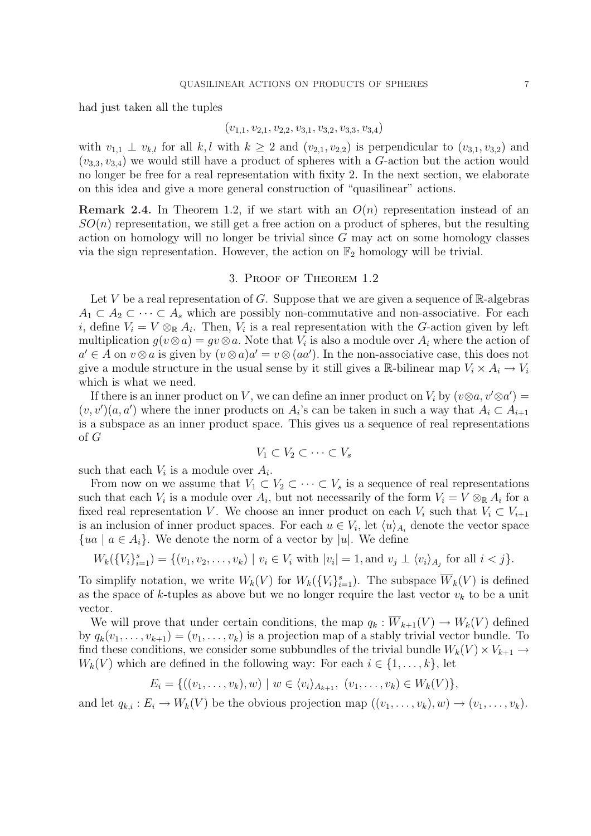had just taken all the tuples

$$
(v_{1,1}, v_{2,1}, v_{2,2}, v_{3,1}, v_{3,2}, v_{3,3}, v_{3,4})
$$

with  $v_{1,1} \perp v_{k,l}$  for all k, l with  $k \geq 2$  and  $(v_{2,1}, v_{2,2})$  is perpendicular to  $(v_{3,1}, v_{3,2})$  and  $(v_{3,3}, v_{3,4})$  we would still have a product of spheres with a G-action but the action would no longer be free for a real representation with fixity 2. In the next section, we elaborate on this idea and give a more general construction of "quasilinear" actions.

**Remark 2.4.** In Theorem 1.2, if we start with an  $O(n)$  representation instead of an  $SO(n)$  representation, we still get a free action on a product of spheres, but the resulting action on homology will no longer be trivial since G may act on some homology classes via the sign representation. However, the action on  $\mathbb{F}_2$  homology will be trivial.

### 3. Proof of Theorem 1.2

Let V be a real representation of G. Suppose that we are given a sequence of  $\mathbb{R}$ -algebras  $A_1 \subset A_2 \subset \cdots \subset A_s$  which are possibly non-commutative and non-associative. For each *i*, define  $V_i = V \otimes_{\mathbb{R}} A_i$ . Then,  $V_i$  is a real representation with the G-action given by left multiplication  $g(v \otimes a) = gv \otimes a$ . Note that  $V_i$  is also a module over  $A_i$  where the action of  $a' \in A$  on  $v \otimes a$  is given by  $(v \otimes a)a' = v \otimes (aa')$ . In the non-associative case, this does not give a module structure in the usual sense by it still gives a R-bilinear map  $V_i \times A_i \to V_i$ which is what we need.

If there is an inner product on V, we can define an inner product on  $V_i$  by  $(v \otimes a, v' \otimes a') =$  $(v, v')(a, a')$  where the inner products on  $A_i$ 's can be taken in such a way that  $A_i \subset A_{i+1}$ is a subspace as an inner product space. This gives us a sequence of real representations of G

$$
V_1 \subset V_2 \subset \cdots \subset V_s
$$

such that each  $V_i$  is a module over  $A_i$ .

From now on we assume that  $V_1 \subset V_2 \subset \cdots \subset V_s$  is a sequence of real representations such that each  $V_i$  is a module over  $A_i$ , but not necessarily of the form  $V_i = V \otimes_{\mathbb{R}} A_i$  for a fixed real representation V. We choose an inner product on each  $V_i$  such that  $V_i \subset V_{i+1}$ is an inclusion of inner product spaces. For each  $u \in V_i$ , let  $\langle u \rangle_{A_i}$  denote the vector space  ${ua \mid a \in A_i}$ . We denote the norm of a vector by |u|. We define

$$
W_k(\{V_i\}_{i=1}^s) = \{(v_1, v_2, \dots, v_k) \mid v_i \in V_i \text{ with } |v_i| = 1, \text{ and } v_j \perp \langle v_i \rangle_{A_j} \text{ for all } i < j\}.
$$

To simplify notation, we write  $W_k(V)$  for  $W_k(\{V_i\}_{i=1}^s)$ . The subspace  $\overline{W}_k(V)$  is defined as the space of k-tuples as above but we no longer require the last vector  $v_k$  to be a unit vector.

We will prove that under certain conditions, the map  $q_k : \overline{W}_{k+1}(V) \to W_k(V)$  defined by  $q_k(v_1, \ldots, v_{k+1}) = (v_1, \ldots, v_k)$  is a projection map of a stably trivial vector bundle. To find these conditions, we consider some subbundles of the trivial bundle  $W_k(V) \times V_{k+1} \to$  $W_k(V)$  which are defined in the following way: For each  $i \in \{1, \ldots, k\}$ , let

$$
E_i = \{((v_1, \ldots, v_k), w) \mid w \in \langle v_i \rangle_{A_{k+1}}, (v_1, \ldots, v_k) \in W_k(V)\},\
$$

and let  $q_{k,i}: E_i \to W_k(V)$  be the obvious projection map  $((v_1, \ldots, v_k), w) \to (v_1, \ldots, v_k)$ .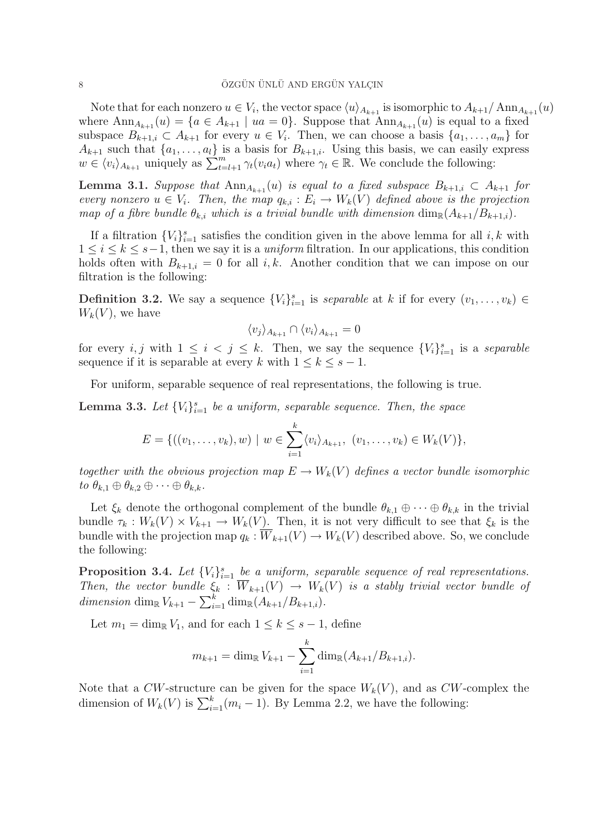Note that for each nonzero  $u \in V_i$ , the vector space  $\langle u \rangle_{A_{k+1}}$  is isomorphic to  $A_{k+1}/\text{Ann}_{A_{k+1}}(u)$ where  $\text{Ann}_{A_{k+1}}(u) = \{a \in A_{k+1} \mid ua = 0\}$ . Suppose that  $\text{Ann}_{A_{k+1}}(u)$  is equal to a fixed subspace  $B_{k+1,i} \subset A_{k+1}$  for every  $u \in V_i$ . Then, we can choose a basis  $\{a_1, \ldots, a_m\}$  for  $A_{k+1}$  such that  $\{a_1, \ldots, a_l\}$  is a basis for  $B_{k+1,i}$ . Using this basis, we can easily express  $A_{k+1}$  such that  $\{a_1, \ldots, a_l\}$  is a basis for  $B_{k+1,i}$ . Using this basis, we can easily  $\omega \in \langle v_i \rangle_{A_{k+1}}$  uniquely as  $\sum_{t=l+1}^{m} \gamma_t(v_i a_t)$  where  $\gamma_t \in \mathbb{R}$ . We conclude the following:

**Lemma 3.1.** Suppose that  $\text{Ann}_{A_{k+1}}(u)$  is equal to a fixed subspace  $B_{k+1,i} \subset A_{k+1}$  for every nonzero  $u \in V_i$ . Then, the map  $q_{k,i}: E_i \to W_k(V)$  defined above is the projection map of a fibre bundle  $\theta_{k,i}$  which is a trivial bundle with dimension  $\dim_{\mathbb{R}}(A_{k+1}/B_{k+1,i}).$ 

If a filtration  ${V_i}_{i=1}^s$  satisfies the condition given in the above lemma for all i, k with  $1 \leq i \leq k \leq s-1$ , then we say it is a *uniform* filtration. In our applications, this condition holds often with  $B_{k+1,i} = 0$  for all i, k. Another condition that we can impose on our filtration is the following:

**Definition 3.2.** We say a sequence  $\{V_i\}_{i=1}^s$  is separable at k if for every  $(v_1, \ldots, v_k) \in$  $W_k(V)$ , we have

$$
\langle v_j \rangle_{A_{k+1}} \cap \langle v_i \rangle_{A_{k+1}} = 0
$$

for every *i*, *j* with  $1 \leq i \leq j \leq k$ . Then, we say the sequence  $\{V_i\}_{i=1}^s$  is a separable sequence if it is separable at every k with  $1 \leq k \leq s - 1$ .

For uniform, separable sequence of real representations, the following is true.

**Lemma 3.3.** Let  ${V_i}_{i=1}^s$  be a uniform, separable sequence. Then, the space

$$
E = \{((v_1, \ldots, v_k), w) \mid w \in \sum_{i=1}^k \langle v_i \rangle_{A_{k+1}}, (v_1, \ldots, v_k) \in W_k(V)\},\
$$

together with the obvious projection map  $E \to W_k(V)$  defines a vector bundle isomorphic to  $\theta_{k,1} \oplus \theta_{k,2} \oplus \cdots \oplus \theta_{k,k}$ .

Let  $\xi_k$  denote the orthogonal complement of the bundle  $\theta_{k,1} \oplus \cdots \oplus \theta_{k,k}$  in the trivial bundle  $\tau_k: W_k(V) \times V_{k+1} \to W_k(V)$ . Then, it is not very difficult to see that  $\xi_k$  is the bundle with the projection map  $q_k : \overline{W}_{k+1}(V) \to W_k(V)$  described above. So, we conclude the following:

**Proposition 3.4.** Let  $\{V_i\}_{i=1}^s$  be a uniform, separable sequence of real representations. Then, the vector bundle  $\xi_k : \overline{W}_{k+1}(V) \to W_k(V)$  is a stably trivial vector bundle of dimension dim<sub>R</sub>  $V_{k+1} - \sum_{i=1}^{k}$  $\sum_{i=1}^k \dim_{\mathbb{R}}(A_{k+1}/B_{k+1,i}).$ 

Let  $m_1 = \dim_{\mathbb{R}} V_1$ , and for each  $1 \leq k \leq s-1$ , define

$$
m_{k+1} = \dim_{\mathbb{R}} V_{k+1} - \sum_{i=1}^{k} \dim_{\mathbb{R}} (A_{k+1}/B_{k+1,i}).
$$

Note that a CW-structure can be given for the space  $W_k(V)$ , and as CW-complex the dimension of  $W_k(V)$  is  $\sum_{i=1}^k (m_i - 1)$ . By Lemma 2.2, we have the following: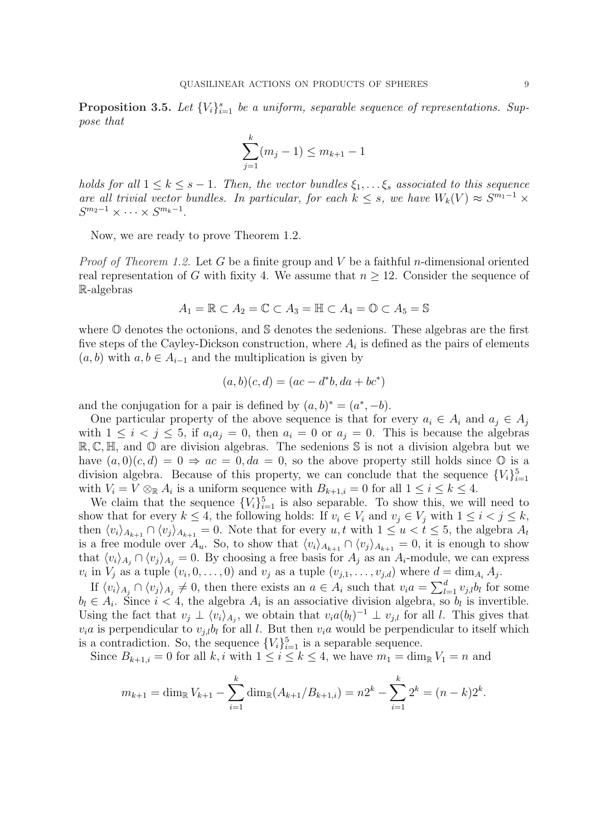**Proposition 3.5.** Let  $\{V_i\}_{i=1}^s$  be a uniform, separable sequence of representations. Suppose that

$$
\sum_{j=1}^{k} (m_j - 1) \le m_{k+1} - 1
$$

holds for all  $1 \leq k \leq s-1$ . Then, the vector bundles  $\xi_1, \ldots \xi_s$  associated to this sequence are all trivial vector bundles. In particular, for each  $k \leq s$ , we have  $W_k(V) \approx S^{m_1-1} \times$  $S^{m_2-1}\times\cdots\times S^{m_k-1}.$ 

Now, we are ready to prove Theorem 1.2.

*Proof of Theorem 1.2.* Let G be a finite group and V be a faithful *n*-dimensional oriented real representation of G with fixity 4. We assume that  $n \geq 12$ . Consider the sequence of R-algebras

$$
A_1 = \mathbb{R} \subset A_2 = \mathbb{C} \subset A_3 = \mathbb{H} \subset A_4 = \mathbb{O} \subset A_5 = \mathbb{S}
$$

where O denotes the octonions, and S denotes the sedenions. These algebras are the first five steps of the Cayley-Dickson construction, where  $A_i$  is defined as the pairs of elements  $(a, b)$  with  $a, b \in A_{i-1}$  and the multiplication is given by

$$
(a, b)(c, d) = (ac - d^*b, da + bc^*)
$$

and the conjugation for a pair is defined by  $(a, b)^* = (a^*, -b)$ .

One particular property of the above sequence is that for every  $a_i \in A_i$  and  $a_j \in A_j$ with  $1 \leq i \leq j \leq 5$ , if  $a_i a_j = 0$ , then  $a_i = 0$  or  $a_j = 0$ . This is because the algebras  $\mathbb{R}, \mathbb{C}, \mathbb{H}$ , and  $\mathbb{O}$  are division algebras. The sedenions  $\mathbb{S}$  is not a division algebra but we have  $(a, 0)(c, d) = 0 \Rightarrow ac = 0, da = 0$ , so the above property still holds since  $\mathbb{O}$  is a division algebra. Because of this property, we can conclude that the sequence  ${V_i}_{i=1}^5$ with  $V_i = V \otimes_{\mathbb{R}} A_i$  is a uniform sequence with  $B_{k+1,i} = 0$  for all  $1 \le i \le k \le 4$ .

We claim that the sequence  ${V_i}_{i=1}^5$  is also separable. To show this, we will need to show that for every  $k \leq 4$ , the following holds: If  $v_i \in V_i$  and  $v_j \in V_j$  with  $1 \leq i < j \leq k$ , then  $\langle v_i \rangle_{A_{k+1}} \cap \langle v_j \rangle_{A_{k+1}} = 0$ . Note that for every u, t with  $1 \le u < t \le 5$ , the algebra  $A_t$ is a free module over  $A_u$ . So, to show that  $\langle v_i \rangle_{A_{k+1}} \cap \langle v_j \rangle_{A_{k+1}} = 0$ , it is enough to show that  $\langle v_i \rangle_{A_i} \cap \langle v_j \rangle_{A_i} = 0$ . By choosing a free basis for  $A_j$  as an  $A_i$ -module, we can express  $v_i$  in  $V_j$  as a tuple  $(v_i, 0, \ldots, 0)$  and  $v_j$  as a tuple  $(v_{j,1}, \ldots, v_{j,d})$  where  $d = \dim_{A_i} A_j$ .

If  $\langle v_i \rangle_{A_j} \cap \langle v_j \rangle_{A_j} \neq 0$ , then there exists an  $a \in A_i$  such that  $v_i a = \sum_{l=1}^d$  $\int_{l=1}^d v_{j,l} b_l$  for some  $b_l \in A_i$ . Since  $i < 4$ , the algebra  $A_i$  is an associative division algebra, so  $b_l$  is invertible. Using the fact that  $v_j \perp \langle v_i \rangle_{A_j}$ , we obtain that  $v_i a(b_l)^{-1} \perp v_{j,l}$  for all l. This gives that  $v_i$ a is perpendicular to  $v_{j,l}$  for all l. But then  $v_i$  would be perpendicular to itself which is a contradiction. So, the sequence  ${V_i}_{i=1}^5$  is a separable sequence.

Since  $B_{k+1,i} = 0$  for all k, i with  $1 \leq i \leq k \leq 4$ , we have  $m_1 = \dim_{\mathbb{R}} V_1 = n$  and

$$
m_{k+1} = \dim_{\mathbb{R}} V_{k+1} - \sum_{i=1}^{k} \dim_{\mathbb{R}} (A_{k+1}/B_{k+1,i}) = n2^{k} - \sum_{i=1}^{k} 2^{k} = (n-k)2^{k}.
$$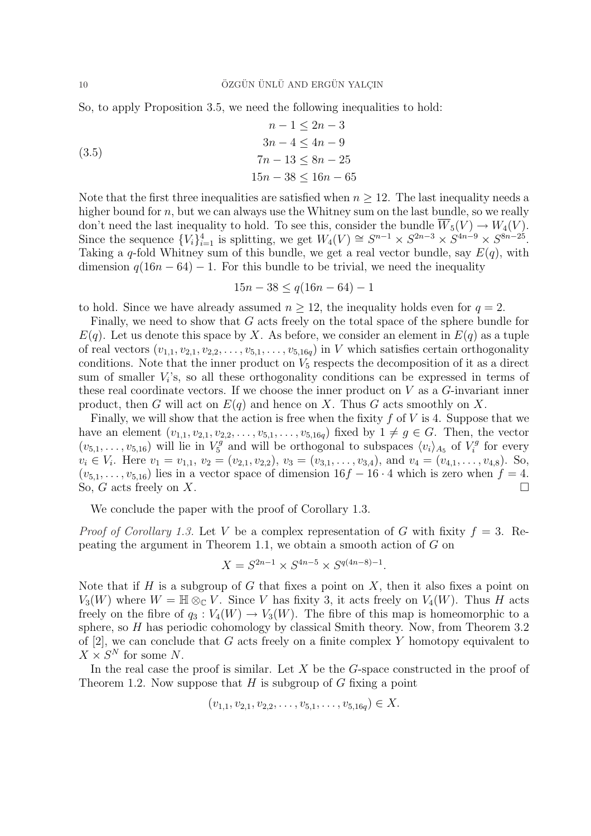So, to apply Proposition 3.5, we need the following inequalities to hold:

(3.5)  
\n
$$
n-1 \le 2n-3
$$
\n
$$
3n-4 \le 4n-9
$$
\n
$$
7n-13 \le 8n-25
$$
\n
$$
15n-38 \le 16n-65
$$

Note that the first three inequalities are satisfied when  $n \geq 12$ . The last inequality needs a higher bound for n, but we can always use the Whitney sum on the last bundle, so we really don't need the last inequality to hold. To see this, consider the bundle  $\overline{W}_5(V) \to W_4(V)$ . Since the sequence  ${V_i}_{i=1}^4$  is splitting, we get  $W_4(V) \cong S^{n-1} \times S^{2n-3} \times S^{4n-9} \times S^{8n-25}$ . Taking a q-fold Whitney sum of this bundle, we get a real vector bundle, say  $E(q)$ , with dimension  $q(16n - 64) - 1$ . For this bundle to be trivial, we need the inequality

$$
15n - 38 \le q(16n - 64) - 1
$$

to hold. Since we have already assumed  $n \geq 12$ , the inequality holds even for  $q = 2$ .

Finally, we need to show that G acts freely on the total space of the sphere bundle for  $E(q)$ . Let us denote this space by X. As before, we consider an element in  $E(q)$  as a tuple of real vectors  $(v_{1,1}, v_{2,1}, v_{2,2}, \ldots, v_{5,1}, \ldots, v_{5,16q})$  in V which satisfies certain orthogonality conditions. Note that the inner product on  $V_5$  respects the decomposition of it as a direct sum of smaller  $V_i$ 's, so all these orthogonality conditions can be expressed in terms of these real coordinate vectors. If we choose the inner product on  $V$  as a  $G$ -invariant inner product, then G will act on  $E(q)$  and hence on X. Thus G acts smoothly on X.

Finally, we will show that the action is free when the fixity  $f$  of  $V$  is 4. Suppose that we have an element  $(v_{1,1}, v_{2,1}, v_{2,2}, \ldots, v_{5,1}, \ldots, v_{5,16q})$  fixed by  $1 \neq g \in G$ . Then, the vector  $(v_{5,1}, \ldots, v_{5,16})$  will lie in  $V_5^g$  $\zeta_5^g$  and will be orthogonal to subspaces  $\langle v_i \rangle_{A_5}$  of  $V_i^g$  $i<sup>g</sup>$  for every  $v_i \in V_i$ . Here  $v_1 = v_{1,1}, v_2 = (v_{2,1}, v_{2,2}), v_3 = (v_{3,1}, \ldots, v_{3,4}),$  and  $v_4 = (v_{4,1}, \ldots, v_{4,8})$ . So,  $(v_{5,1}, \ldots, v_{5,16})$  lies in a vector space of dimension  $16f - 16 \cdot 4$  which is zero when  $f = 4$ . So, G acts freely on X.

We conclude the paper with the proof of Corollary 1.3.

*Proof of Corollary 1.3.* Let V be a complex representation of G with fixity  $f = 3$ . Repeating the argument in Theorem 1.1, we obtain a smooth action of G on

$$
X = S^{2n-1} \times S^{4n-5} \times S^{q(4n-8)-1}.
$$

Note that if H is a subgroup of G that fixes a point on X, then it also fixes a point on  $V_3(W)$  where  $W = \mathbb{H} \otimes_{\mathbb{C}} V$ . Since V has fixity 3, it acts freely on  $V_4(W)$ . Thus H acts freely on the fibre of  $q_3: V_4(W) \to V_3(W)$ . The fibre of this map is homeomorphic to a sphere, so  $H$  has periodic cohomology by classical Smith theory. Now, from Theorem 3.2 of [2], we can conclude that G acts freely on a finite complex Y homotopy equivalent to  $X \times S^N$  for some N.

In the real case the proof is similar. Let  $X$  be the  $G$ -space constructed in the proof of Theorem 1.2. Now suppose that  $H$  is subgroup of  $G$  fixing a point

$$
(v_{1,1}, v_{2,1}, v_{2,2}, \ldots, v_{5,1}, \ldots, v_{5,16q}) \in X.
$$